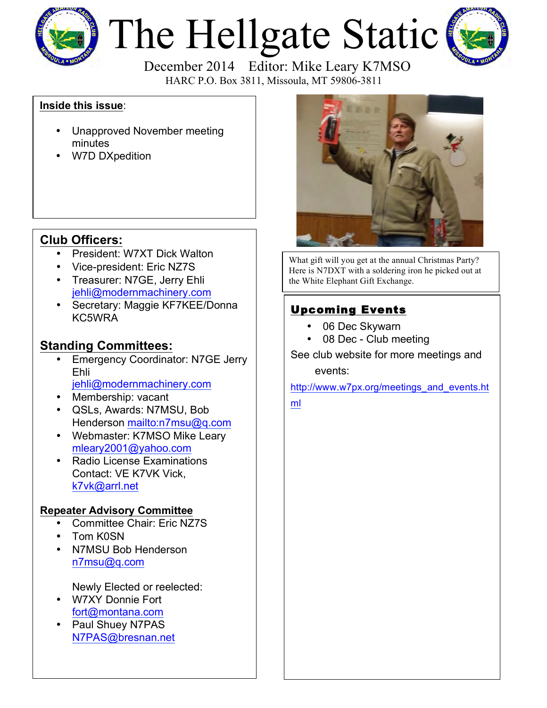

# The Hellgate Static



HARC P.O. Box 3811, Missoula, MT 59806-3811

#### **Inside this issue**:

- Unapproved November meeting minutes
- W7D DXpedition

## **Club Officers:**

- President: W7XT Dick Walton
- Vice-president: Eric NZ7S
- Treasurer: N7GE, Jerry Ehli jehli@modernmachinery.com
- Secretary: Maggie KF7KEE/Donna KC5WRA

### **Standing Committees:**

- Emergency Coordinator: N7GE Jerry Ehli jehli@modernmachinery.com
- Membership: vacant
- QSLs, Awards: N7MSU, Bob Henderson mailto:n7msu@q.com
- Webmaster: K7MSO Mike Leary mleary2001@yahoo.com
- Radio License Examinations Contact: VE K7VK Vick, k7vk@arrl.net

#### **Repeater Advisory Committee**

- Committee Chair: Eric NZ7S
- Tom K0SN
- N7MSU Bob Henderson n7msu@q.com

Newly Elected or reelected:

- W7XY Donnie Fort fort@montana.com
- Paul Shuey N7PAS N7PAS@bresnan.net



What gift will you get at the annual Christmas Party? Here is N7DXT with a soldering iron he picked out at the White Elephant Gift Exchange.

# Upcoming Events

- 06 Dec Skywarn
- 08 Dec Club meeting

See club website for more meetings and events:

http://www.w7px.org/meetings\_and\_events.ht

ml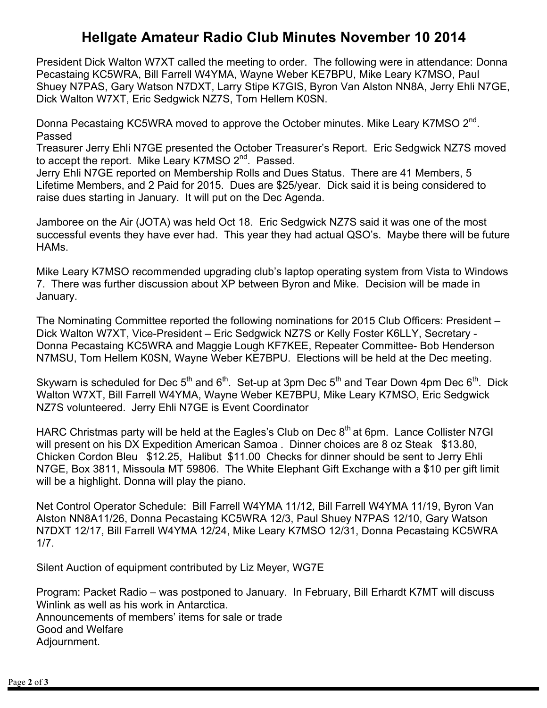# **Hellgate Amateur Radio Club Minutes November 10 2014**

President Dick Walton W7XT called the meeting to order. The following were in attendance: Donna Pecastaing KC5WRA, Bill Farrell W4YMA, Wayne Weber KE7BPU, Mike Leary K7MSO, Paul Shuey N7PAS, Gary Watson N7DXT, Larry Stipe K7GIS, Byron Van Alston NN8A, Jerry Ehli N7GE, Dick Walton W7XT, Eric Sedgwick NZ7S, Tom Hellem K0SN.

Donna Pecastaing KC5WRA moved to approve the October minutes. Mike Leary K7MSO 2<sup>nd</sup>. Passed

Treasurer Jerry Ehli N7GE presented the October Treasurer's Report. Eric Sedgwick NZ7S moved to accept the report. Mike Leary K7MSO 2<sup>nd</sup>. Passed.

Jerry Ehli N7GE reported on Membership Rolls and Dues Status. There are 41 Members, 5 Lifetime Members, and 2 Paid for 2015. Dues are \$25/year. Dick said it is being considered to raise dues starting in January. It will put on the Dec Agenda.

Jamboree on the Air (JOTA) was held Oct 18. Eric Sedgwick NZ7S said it was one of the most successful events they have ever had. This year they had actual QSO's. Maybe there will be future HAMs.

Mike Leary K7MSO recommended upgrading club's laptop operating system from Vista to Windows 7. There was further discussion about XP between Byron and Mike. Decision will be made in January.

The Nominating Committee reported the following nominations for 2015 Club Officers: President – Dick Walton W7XT, Vice-President – Eric Sedgwick NZ7S or Kelly Foster K6LLY, Secretary - Donna Pecastaing KC5WRA and Maggie Lough KF7KEE, Repeater Committee- Bob Henderson N7MSU, Tom Hellem K0SN, Wayne Weber KE7BPU. Elections will be held at the Dec meeting.

Skywarn is scheduled for Dec  $5<sup>th</sup>$  and  $6<sup>th</sup>$ . Set-up at 3pm Dec  $5<sup>th</sup>$  and Tear Down 4pm Dec  $6<sup>th</sup>$ . Dick Walton W7XT, Bill Farrell W4YMA, Wayne Weber KE7BPU, Mike Leary K7MSO, Eric Sedgwick NZ7S volunteered. Jerry Ehli N7GE is Event Coordinator

HARC Christmas party will be held at the Eagles's Club on Dec  $8<sup>th</sup>$  at 6pm. Lance Collister N7GI will present on his DX Expedition American Samoa . Dinner choices are 8 oz Steak \$13.80, Chicken Cordon Bleu \$12.25, Halibut \$11.00 Checks for dinner should be sent to Jerry Ehli N7GE, Box 3811, Missoula MT 59806. The White Elephant Gift Exchange with a \$10 per gift limit will be a highlight. Donna will play the piano.

Net Control Operator Schedule: Bill Farrell W4YMA 11/12, Bill Farrell W4YMA 11/19, Byron Van Alston NN8A11/26, Donna Pecastaing KC5WRA 12/3, Paul Shuey N7PAS 12/10, Gary Watson N7DXT 12/17, Bill Farrell W4YMA 12/24, Mike Leary K7MSO 12/31, Donna Pecastaing KC5WRA 1/7.

Silent Auction of equipment contributed by Liz Meyer, WG7E

Program: Packet Radio – was postponed to January. In February, Bill Erhardt K7MT will discuss Winlink as well as his work in Antarctica. Announcements of members' items for sale or trade Good and Welfare Adjournment.